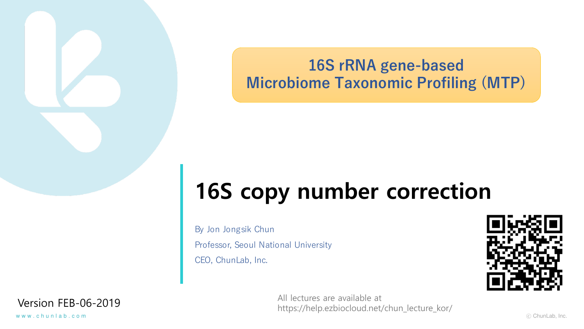**16S rRNA gene-based Microbiome Taxonomic Profiling (MTP)**

# **16S copy number correction**

By Jon Jongsik Chun Professor, Seoul National University CEO, ChunLab, Inc.

Version FEB-06-2019 All lectures are available at https://help.ezbiocloud.net/chun\_lecture\_kor/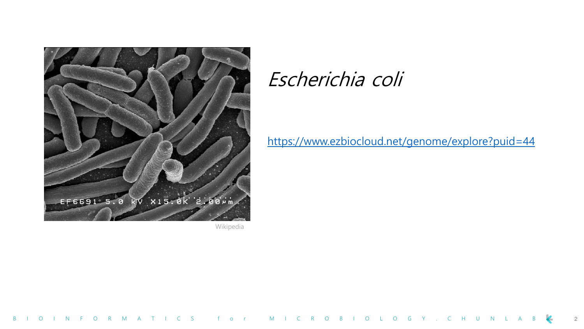

Wikipedia

# Escherichia coli

<https://www.ezbiocloud.net/genome/explore?puid=44>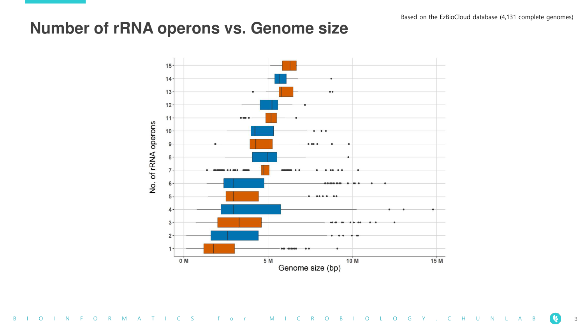### **Number of rRNA operons vs. Genome size**

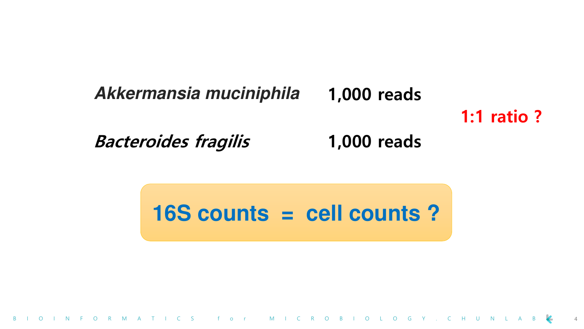### **Akkermansia muciniphila 1,000 reads**

# **1:1 ratio ?**

**Bacteroides fragilis 1,000 reads**

**16S counts = cell counts ?**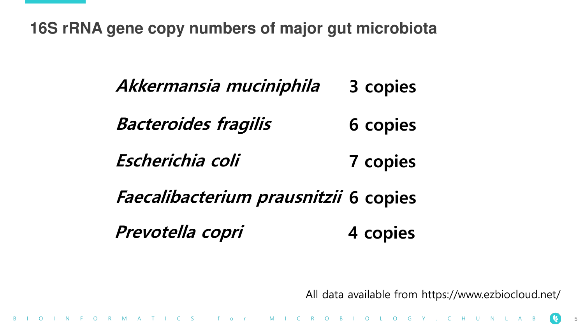**16S rRNA gene copy numbers of major gut microbiota**

**Bacteroides fragilis 6 copies Prevotella copri 4 copies Escherichia coli 7 copies Akkermansia muciniphila 3 copies Faecalibacterium prausnitzii 6 copies**

O I N F O R M A T I C S f o r M I C R O B I O L O G Y . C H U N L A

All data available from https://www.ezbiocloud.net/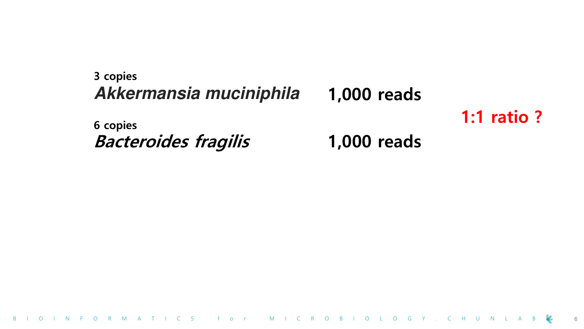### **Akkermansia muciniphila Bacteroides fragilis 1,000 reads 1,000 reads 1:1 ratio ? 3 copies 6 copies**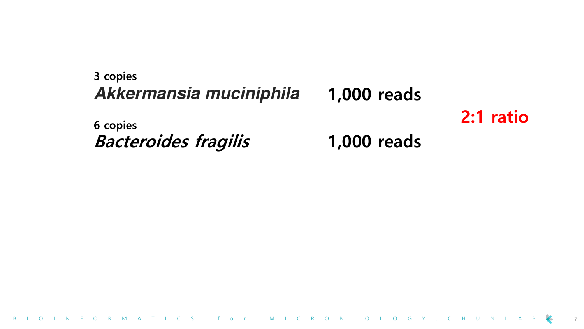### **Akkermansia muciniphila Bacteroides fragilis 1,000 reads 1,000 reads 2:1 ratio 3 copies 6 copies**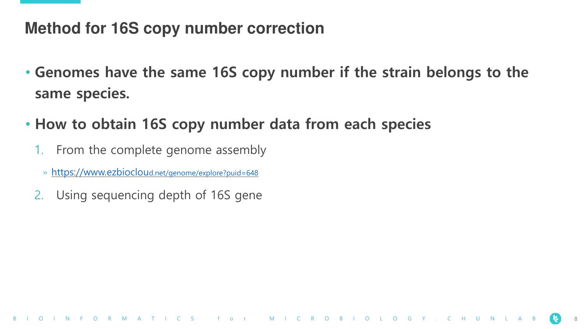### **Method for 16S copy number correction**

- **Genomes have the same 16S copy number if the strain belongs to the same species.**
- **How to obtain 16S copy number data from each species**
	- 1. From the complete genome assembly
		- » [https://www.ezbioclou](https://www.ezbiocloud.net/genome/explore?puid=648)d.net/genome/explore?puid=648
	- 2. Using sequencing depth of 16S gene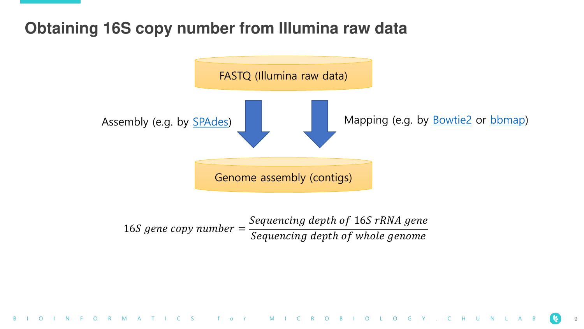## **Obtaining 16S copy number from Illumina raw data**



 $16S$  gene copy number  $=$ Sequencing depth of 16S rRNA gene Sequencing depth of whole genome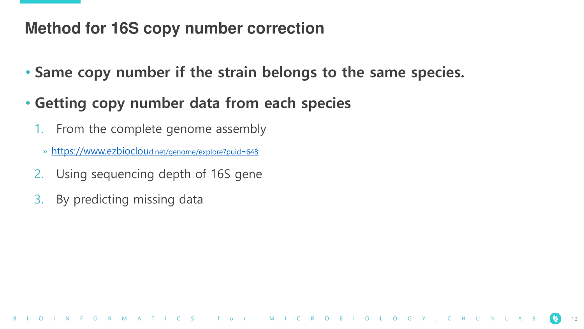## **Method for 16S copy number correction**

• **Same copy number if the strain belongs to the same species.**

# • **Getting copy number data from each species**

- 1. From the complete genome assembly
	- » [https://www.ezbioclou](https://www.ezbiocloud.net/genome/explore?puid=648)d.net/genome/explore?puid=648
- 2. Using sequencing depth of 16S gene
- 3. By predicting missing data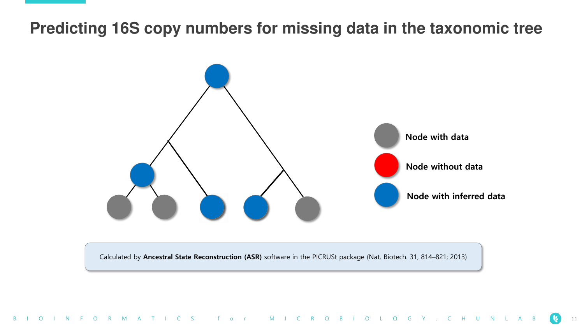### **Predicting 16S copy numbers for missing data in the taxonomic tree**



Calculated by **Ancestral State Reconstruction (ASR)** software in the PICRUSt package (Nat. Biotech. 31, 814–821; 2013)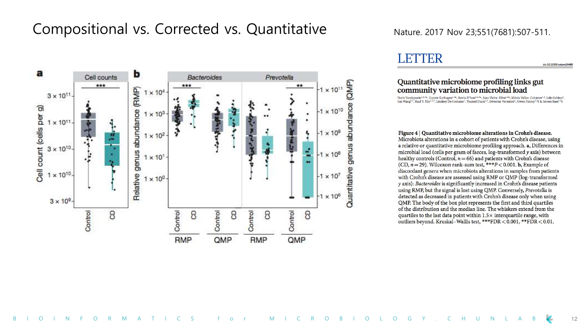### Compositional vs. Corrected vs. Quantitative Nature. 2017 Nov 23;551(7681):507-511.



### LETTER

doi:10.1038/nature24460

#### Quantitative microbiome profiling links gut community variation to microbial load

Doris Vandeputte<sup>1,2,3\*</sup>, Gunter Kathagen<sup>1,2\*</sup>, Kevin D'hoe<sup>1,2,3\*</sup>, Sara Vieira-Silva<sup>1,2\*</sup>, Mireia Valles-Colomer<sup>1,2</sup>, João Sabino<sup>4</sup>, Jun Wang<sup>1,2</sup>, Raul Y. Tito<sup>1,2,3</sup>, Lindsey De Commer<sup>1</sup>, Youssef Darzi<sup>1,2</sup>, Séverine Vermeire<sup>4</sup>, Gwen Falony<sup>1,2</sup>§ & Jeroen Raes<sup>1,2</sup>§

Figure 4 | Quantitative microbiome alterations in Crohn's disease. Microbiota alterations in a cohort of patients with Crohn's disease, using a relative or quantitative microbiome profiling approach. a, Differences in

microbial load (cells per gram of faeces, log-transformed y axis) between healthy controls (Control,  $n = 66$ ) and patients with Crohn's disease (CD,  $n = 29$ ). Wilcoxon rank-sum test, \*\*\* $P < 0.001$ . b, Example of discordant genera when microbiota alterations in samples from patients with Crohn's disease are assessed using RMP or QMP (log-transformed y axis): Bacteroides is significantly increased in Crohn's disease patients using RMP, but the signal is lost using QMP. Conversely, Prevotella is detected as decreased in patients with Crohn's disease only when using QMP. The body of the box plot represents the first and third quartiles of the distribution and the median line. The whiskers extend from the quartiles to the last data point within  $1.5\times$  interquartile range, with outliers beyond. Kruskal-Wallis test, \*\*\*FDR < 0.001, \*\*FDR < 0.01.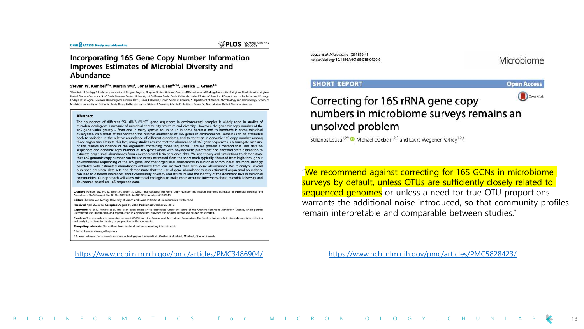#### **Incorporating 16S Gene Copy Number Information Improves Estimates of Microbial Diversity and** Abundance

#### Steven W. Kembel<sup>1¤\*</sup>, Martin Wu<sup>2</sup>, Jonathan A. Eisen<sup>3,4,5</sup>, Jessica L. Green<sup>1,6</sup>

1 Institute of Ecology & Evolution, University of Oregon, Eugene, Oregon, United States of America, 2 Department of Biology, University of Virginia, Charlottesville, Virginia, United States of America. 3 UC Davis Genome Center. University of California Davis. Davis. California. United States of America. 4 Department of Evolution and Ecology. College of Biological Sciences, University of California Davis, Davis, California, United States of America, 5 Department of Medical Microbiology and Immunology, School of Medicine, University of California Davis, Davis, California, United States of America, 6 Santa Fe Institute, Santa Fe, New Mexico, United States of America

#### **Abstract**

The abundance of different SSU rRNA ("16S") gene sequences in environmental samples is widely used in studies of microbial ecology as a measure of microbial community structure and diversity. However, the genomic copy number of the 16S gene varies greatly - from one in many species to up to 15 in some bacteria and to hundreds in some microbial eukaryotes. As a result of this variation the relative abundance of 16S genes in environmental samples can be attributed both to variation in the relative abundance of different organisms, and to variation in genomic 16S copy number among those organisms. Despite this fact, many studies assume that the abundance of 16S gene sequences is a surrogate measure of the relative abundance of the organisms containing those sequences. Here we present a method that uses data on sequences and genomic copy number of 16S genes along with phylogenetic placement and ancestral state estimation to estimate organismal abundances from environmental DNA sequence data. We use theory and simulations to demonstrate that 16S genomic copy number can be accurately estimated from the short reads typically obtained from high-throughput environmental sequencing of the 16S gene, and that organismal abundances in microbial communities are more strongly correlated with estimated abundances obtained from our method than with gene abundances. We re-analyze several published empirical data sets and demonstrate that the use of gene abundance versus estimated organismal abundance can lead to different inferences about community diversity and structure and the identity of the dominant taxa in microbial communities. Our approach will allow microbial ecologists to make more accurate inferences about microbial diversity and abundance based on 16S sequence data.

Citation: Kembel SW, Wu M, Eisen JA, Green JL (2012) Incorporating 16S Gene Copy Number Information Improves Estimates of Microbial Diversity and Abundance. PLoS Comput Biol 8(10): e1002743. doi:10.1371/journal.pcbi.1002743

Editor: Christian von Mering, University of Zurich and Swiss Institute of Bioinformatics, Switzerland

Received April 25, 2012; Accepted August 31, 2012; Published October 25, 2012

Copyright: @ 2012 Kembel et al. This is an open-access article distributed under the terms of the Creative Commons Attribution License, which permits unrestricted use, distribution, and reproduction in any medium, provided the original author and source are credited.

Funding: This research was supported by grant #1660 from the Gordon and Betty Moore Foundation. The funders had no role in study design, data collection and analysis, decision to publish, or preparation of the manuscript.

Competing Interests: The authors have declared that no competing interests exist.

\* E-mail: kembel.steven\_w@ugam.ca

¤ Current address: Départment des sciences biologiques, Université du Québec à Montréal, Montreal, Quebec, Canada.

#### <https://www.ncbi.nlm.nih.gov/pmc/articles/PMC3486904/>

Louca et al. Microbiome (2018) 6:41 https://doi.org/10.1186/s40168-018-0420-9

#### Microbiome

#### **SHORT REPORT**



#### CrossMark Correcting for 16S rRNA gene copy numbers in microbiome surveys remains an unsolved problem

Stilianos Louca<sup>1,2\*</sup> . Michael Doebeli<sup>1,2,3</sup> and Laura Wegener Parfrey<sup>1,2,4</sup>

"We recommend against correcting for 16S GCNs in microbiome surveys by default, unless OTUs are sufficiently closely related to sequenced genomes or unless a need for true OTU proportions warrants the additional noise introduced, so that community profiles remain interpretable and comparable between studies."

<https://www.ncbi.nlm.nih.gov/pmc/articles/PMC5828423/>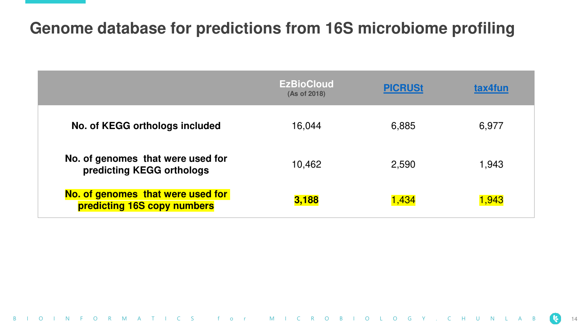## **Genome database for predictions from 16S microbiome profiling**

|                                                                  | <b>EzBioCloud</b><br>(As of 2018) | <b>PICRUSt</b> | tax4fun |
|------------------------------------------------------------------|-----------------------------------|----------------|---------|
| No. of KEGG orthologs included                                   | 16,044                            | 6,885          | 6,977   |
| No. of genomes that were used for<br>predicting KEGG orthologs   | 10,462                            | 2,590          | 1,943   |
| No. of genomes that were used for<br>predicting 16S copy numbers | 3,188                             | 1,434          | 1,943   |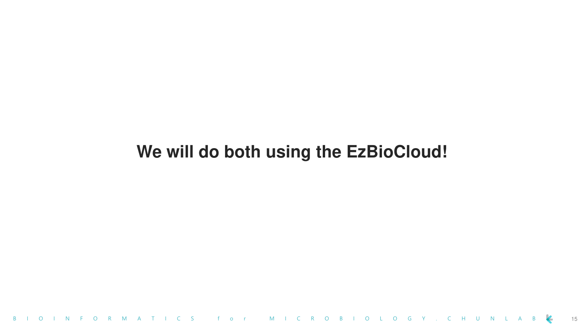# **We will do both using the EzBioCloud!**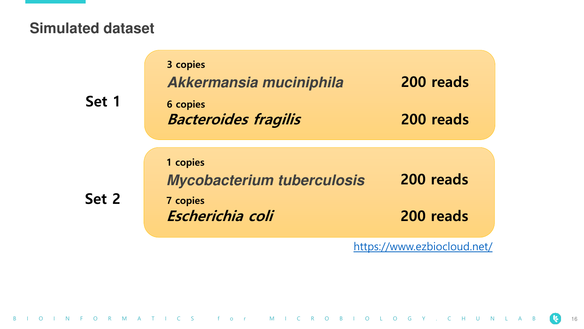### **Simulated dataset**

| Set 1 | 3 copies<br>Akkermansia muciniphila<br><b>6 copies</b><br><b>Bacteroides fragilis</b> | 200 reads<br>200 reads |
|-------|---------------------------------------------------------------------------------------|------------------------|
| Set 2 | 1 copies<br><b>Mycobacterium tuberculosis</b><br><b>7 copies</b><br>Escherichia coli  | 200 reads<br>200 reads |

<https://www.ezbiocloud.net/>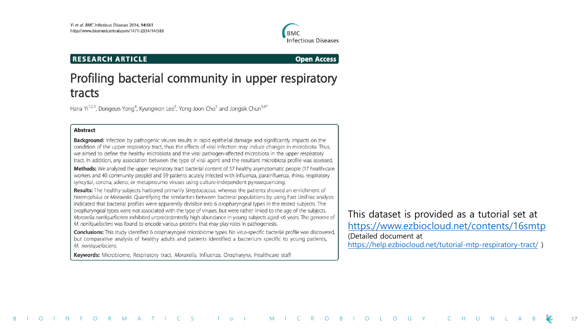

#### **RESEARCH ARTICLE**

**Open Access** 

### Profiling bacterial community in upper respiratory tracts

Hana Yi<sup>1,2,3</sup>, Dongeun Yong<sup>4</sup>, Kyungwon Lee<sup>4</sup>, Yong-Joon Cho<sup>5</sup> and Jongsik Chun<sup>5,6\*</sup>

#### **Abstract**

Background: Infection by pathogenic viruses results in rapid epithelial damage and significantly impacts on the condition of the upper respiratory tract, thus the effects of viral infection may induce changes in microbiota. Thus, we aimed to define the healthy microbiota and the viral pathogen-affected microbiota in the upper respiratory tract. In addition, any association between the type of viral agent and the resultant microbiota profile was assessed.

Methods: We analyzed the upper respiratory tract bacterial content of 57 healthy asymptomatic people (17 health-care workers and 40 community people) and 59 patients acutely infected with influenza, parainfluenza, rhino, respiratory syncytial, corona, adeno, or metapneumo viruses using culture-independent pyrosequencing.

Results: The healthy subjects harbored primarily Streptococcus, whereas the patients showed an enrichment of Haemophilus or Moraxella. Quantifying the similarities between bacterial populations by using Fast UniFrac analysis indicated that bacterial profiles were apparently divisible into 6 oropharyngeal types in the tested subjects. The oropharyngeal types were not associated with the type of viruses, but were rather linked to the age of the subjects. Moraxella nonliquefaciens exhibited unprecedentedly high abundance in young subjects aged <6 years. The genome of M. nonliquefaciens was found to encode various proteins that may play roles in pathogenesis.

Conclusions: This study identified 6 oropharyngeal microbiome types. No virus-specific bacterial profile was discovered, but comparative analysis of healthy adults and patients identified a bacterium specific to young patients, M. nonliquefaciens.

Keywords: Microbiome, Respiratory tract, Moraxella, Influenza, Oropharynx, Healthcare staff

This dataset is provided as a tutorial set at <https://www.ezbiocloud.net/contents/16smtp> (Detailed document at <https://help.ezbiocloud.net/tutorial-mtp-respiratory-tract/> )